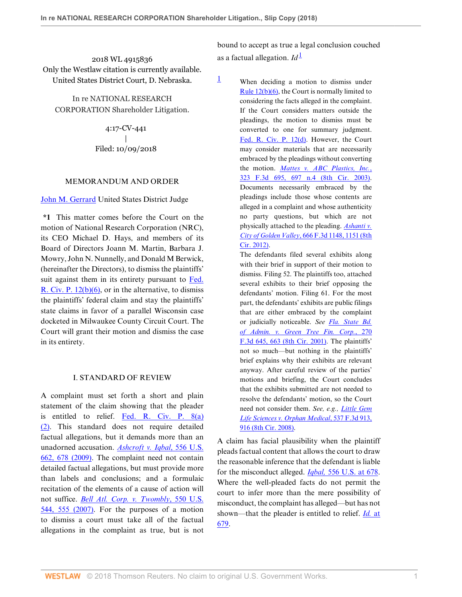2018 WL 4915836 Only the Westlaw citation is currently available. United States District Court, D. Nebraska.

In re NATIONAL RESEARCH CORPORATION Shareholder Litigation.

> 4:17-CV-441 | Filed: 10/09/2018

#### MEMORANDUM AND ORDER

[John M. Gerrard](http://www.westlaw.com/Link/Document/FullText?findType=h&pubNum=176284&cite=0110383601&originatingDoc=I15e91f00cd2a11e8b1cdeab7e1f6f07a&refType=RQ&originationContext=document&vr=3.0&rs=cblt1.0&transitionType=DocumentItem&contextData=(sc.Folder*cid.0366c5058a8f4f4798e90373e9c2f91f*oc.Search)) United States District Judge

**\*1** This matter comes before the Court on the motion of National Research Corporation (NRC), its CEO Michael D. Hays, and members of its Board of Directors Joann M. Martin, Barbara J. Mowry, John N. Nunnelly, and Donald M Berwick, (hereinafter the Directors), to dismiss the plaintiffs' suit against them in its entirety pursuant to [Fed.](http://www.westlaw.com/Link/Document/FullText?findType=L&pubNum=1000600&cite=USFRCPR12&originatingDoc=I15e91f00cd2a11e8b1cdeab7e1f6f07a&refType=LQ&originationContext=document&vr=3.0&rs=cblt1.0&transitionType=DocumentItem&contextData=(sc.Folder*cid.0366c5058a8f4f4798e90373e9c2f91f*oc.Search)) [R. Civ. P. 12\(b\)\(6\),](http://www.westlaw.com/Link/Document/FullText?findType=L&pubNum=1000600&cite=USFRCPR12&originatingDoc=I15e91f00cd2a11e8b1cdeab7e1f6f07a&refType=LQ&originationContext=document&vr=3.0&rs=cblt1.0&transitionType=DocumentItem&contextData=(sc.Folder*cid.0366c5058a8f4f4798e90373e9c2f91f*oc.Search)) or in the alternative, to dismiss the plaintiffs' federal claim and stay the plaintiffs' state claims in favor of a parallel Wisconsin case docketed in Milwaukee County Circuit Court. The Court will grant their motion and dismiss the case in its entirety.

### I. STANDARD OF REVIEW

A complaint must set forth a short and plain statement of the claim showing that the pleader is entitled to relief. [Fed. R. Civ. P. 8\(a\)](http://www.westlaw.com/Link/Document/FullText?findType=L&pubNum=1000600&cite=USFRCPR8&originatingDoc=I15e91f00cd2a11e8b1cdeab7e1f6f07a&refType=LQ&originationContext=document&vr=3.0&rs=cblt1.0&transitionType=DocumentItem&contextData=(sc.Folder*cid.0366c5058a8f4f4798e90373e9c2f91f*oc.Search)) [\(2\).](http://www.westlaw.com/Link/Document/FullText?findType=L&pubNum=1000600&cite=USFRCPR8&originatingDoc=I15e91f00cd2a11e8b1cdeab7e1f6f07a&refType=LQ&originationContext=document&vr=3.0&rs=cblt1.0&transitionType=DocumentItem&contextData=(sc.Folder*cid.0366c5058a8f4f4798e90373e9c2f91f*oc.Search)) This standard does not require detailed factual allegations, but it demands more than an unadorned accusation. *[Ashcroft v. Iqbal](http://www.westlaw.com/Link/Document/FullText?findType=Y&serNum=2018848474&pubNum=0000780&originatingDoc=I15e91f00cd2a11e8b1cdeab7e1f6f07a&refType=RP&fi=co_pp_sp_780_678&originationContext=document&vr=3.0&rs=cblt1.0&transitionType=DocumentItem&contextData=(sc.Folder*cid.0366c5058a8f4f4798e90373e9c2f91f*oc.Search)#co_pp_sp_780_678)*, 556 U.S. [662, 678 \(2009\)](http://www.westlaw.com/Link/Document/FullText?findType=Y&serNum=2018848474&pubNum=0000780&originatingDoc=I15e91f00cd2a11e8b1cdeab7e1f6f07a&refType=RP&fi=co_pp_sp_780_678&originationContext=document&vr=3.0&rs=cblt1.0&transitionType=DocumentItem&contextData=(sc.Folder*cid.0366c5058a8f4f4798e90373e9c2f91f*oc.Search)#co_pp_sp_780_678). The complaint need not contain detailed factual allegations, but must provide more than labels and conclusions; and a formulaic recitation of the elements of a cause of action will not suffice. *[Bell Atl. Corp. v. Twombly](http://www.westlaw.com/Link/Document/FullText?findType=Y&serNum=2012293296&pubNum=0000780&originatingDoc=I15e91f00cd2a11e8b1cdeab7e1f6f07a&refType=RP&fi=co_pp_sp_780_555&originationContext=document&vr=3.0&rs=cblt1.0&transitionType=DocumentItem&contextData=(sc.Folder*cid.0366c5058a8f4f4798e90373e9c2f91f*oc.Search)#co_pp_sp_780_555)*, 550 U.S. [544, 555 \(2007\).](http://www.westlaw.com/Link/Document/FullText?findType=Y&serNum=2012293296&pubNum=0000780&originatingDoc=I15e91f00cd2a11e8b1cdeab7e1f6f07a&refType=RP&fi=co_pp_sp_780_555&originationContext=document&vr=3.0&rs=cblt1.0&transitionType=DocumentItem&contextData=(sc.Folder*cid.0366c5058a8f4f4798e90373e9c2f91f*oc.Search)#co_pp_sp_780_555) For the purposes of a motion to dismiss a court must take all of the factual allegations in the complaint as true, but is not

<span id="page-0-1"></span>bound to accept as true a legal conclusion couched as a factual allegation.  $Id^{\perp}$ 

<span id="page-0-0"></span> $\frac{1}{2}$  $\frac{1}{2}$  $\frac{1}{2}$  When deciding a motion to dismiss under [Rule 12\(b\)\(6\),](http://www.westlaw.com/Link/Document/FullText?findType=L&pubNum=1000600&cite=USFRCPR12&originatingDoc=I15e91f00cd2a11e8b1cdeab7e1f6f07a&refType=LQ&originationContext=document&vr=3.0&rs=cblt1.0&transitionType=DocumentItem&contextData=(sc.Folder*cid.0366c5058a8f4f4798e90373e9c2f91f*oc.Search)) the Court is normally limited to considering the facts alleged in the complaint. If the Court considers matters outside the pleadings, the motion to dismiss must be converted to one for summary judgment. [Fed. R. Civ. P. 12\(d\).](http://www.westlaw.com/Link/Document/FullText?findType=L&pubNum=1000600&cite=USFRCPR12&originatingDoc=I15e91f00cd2a11e8b1cdeab7e1f6f07a&refType=LQ&originationContext=document&vr=3.0&rs=cblt1.0&transitionType=DocumentItem&contextData=(sc.Folder*cid.0366c5058a8f4f4798e90373e9c2f91f*oc.Search)) However, the Court may consider materials that are necessarily embraced by the pleadings without converting the motion. *[Mattes v. ABC Plastics, Inc.](http://www.westlaw.com/Link/Document/FullText?findType=Y&serNum=2003177261&pubNum=0000506&originatingDoc=I15e91f00cd2a11e8b1cdeab7e1f6f07a&refType=RP&fi=co_pp_sp_506_697&originationContext=document&vr=3.0&rs=cblt1.0&transitionType=DocumentItem&contextData=(sc.Folder*cid.0366c5058a8f4f4798e90373e9c2f91f*oc.Search)#co_pp_sp_506_697)*, [323 F.3d 695, 697 n.4 \(8th Cir. 2003\).](http://www.westlaw.com/Link/Document/FullText?findType=Y&serNum=2003177261&pubNum=0000506&originatingDoc=I15e91f00cd2a11e8b1cdeab7e1f6f07a&refType=RP&fi=co_pp_sp_506_697&originationContext=document&vr=3.0&rs=cblt1.0&transitionType=DocumentItem&contextData=(sc.Folder*cid.0366c5058a8f4f4798e90373e9c2f91f*oc.Search)#co_pp_sp_506_697) Documents necessarily embraced by the pleadings include those whose contents are alleged in a complaint and whose authenticity no party questions, but which are not physically attached to the pleading. *[Ashanti v.](http://www.westlaw.com/Link/Document/FullText?findType=Y&serNum=2026939119&pubNum=0000506&originatingDoc=I15e91f00cd2a11e8b1cdeab7e1f6f07a&refType=RP&fi=co_pp_sp_506_1151&originationContext=document&vr=3.0&rs=cblt1.0&transitionType=DocumentItem&contextData=(sc.Folder*cid.0366c5058a8f4f4798e90373e9c2f91f*oc.Search)#co_pp_sp_506_1151) City of Golden Valley*[, 666 F.3d 1148, 1151 \(8th](http://www.westlaw.com/Link/Document/FullText?findType=Y&serNum=2026939119&pubNum=0000506&originatingDoc=I15e91f00cd2a11e8b1cdeab7e1f6f07a&refType=RP&fi=co_pp_sp_506_1151&originationContext=document&vr=3.0&rs=cblt1.0&transitionType=DocumentItem&contextData=(sc.Folder*cid.0366c5058a8f4f4798e90373e9c2f91f*oc.Search)#co_pp_sp_506_1151) [Cir. 2012\)](http://www.westlaw.com/Link/Document/FullText?findType=Y&serNum=2026939119&pubNum=0000506&originatingDoc=I15e91f00cd2a11e8b1cdeab7e1f6f07a&refType=RP&fi=co_pp_sp_506_1151&originationContext=document&vr=3.0&rs=cblt1.0&transitionType=DocumentItem&contextData=(sc.Folder*cid.0366c5058a8f4f4798e90373e9c2f91f*oc.Search)#co_pp_sp_506_1151).

> The defendants filed several exhibits along with their brief in support of their motion to dismiss. Filing 52. The plaintiffs too, attached several exhibits to their brief opposing the defendants' motion. Filing 61. For the most part, the defendants' exhibits are public filings that are either embraced by the complaint or judicially noticeable. *See [Fla. State Bd.](http://www.westlaw.com/Link/Document/FullText?findType=Y&serNum=2001928304&pubNum=0000506&originatingDoc=I15e91f00cd2a11e8b1cdeab7e1f6f07a&refType=RP&fi=co_pp_sp_506_663&originationContext=document&vr=3.0&rs=cblt1.0&transitionType=DocumentItem&contextData=(sc.Folder*cid.0366c5058a8f4f4798e90373e9c2f91f*oc.Search)#co_pp_sp_506_663) [of Admin. v. Green Tree Fin. Corp.](http://www.westlaw.com/Link/Document/FullText?findType=Y&serNum=2001928304&pubNum=0000506&originatingDoc=I15e91f00cd2a11e8b1cdeab7e1f6f07a&refType=RP&fi=co_pp_sp_506_663&originationContext=document&vr=3.0&rs=cblt1.0&transitionType=DocumentItem&contextData=(sc.Folder*cid.0366c5058a8f4f4798e90373e9c2f91f*oc.Search)#co_pp_sp_506_663)*, 270 [F.3d 645, 663 \(8th Cir. 2001\).](http://www.westlaw.com/Link/Document/FullText?findType=Y&serNum=2001928304&pubNum=0000506&originatingDoc=I15e91f00cd2a11e8b1cdeab7e1f6f07a&refType=RP&fi=co_pp_sp_506_663&originationContext=document&vr=3.0&rs=cblt1.0&transitionType=DocumentItem&contextData=(sc.Folder*cid.0366c5058a8f4f4798e90373e9c2f91f*oc.Search)#co_pp_sp_506_663) The plaintiffs' not so much—but nothing in the plaintiffs' brief explains why their exhibits are relevant anyway. After careful review of the parties' motions and briefing, the Court concludes that the exhibits submitted are not needed to resolve the defendants' motion, so the Court need not consider them. *See, e.g., [Little Gem](http://www.westlaw.com/Link/Document/FullText?findType=Y&serNum=2016722379&pubNum=0000506&originatingDoc=I15e91f00cd2a11e8b1cdeab7e1f6f07a&refType=RP&fi=co_pp_sp_506_916&originationContext=document&vr=3.0&rs=cblt1.0&transitionType=DocumentItem&contextData=(sc.Folder*cid.0366c5058a8f4f4798e90373e9c2f91f*oc.Search)#co_pp_sp_506_916) [Life Sciences v. Orphan Medical](http://www.westlaw.com/Link/Document/FullText?findType=Y&serNum=2016722379&pubNum=0000506&originatingDoc=I15e91f00cd2a11e8b1cdeab7e1f6f07a&refType=RP&fi=co_pp_sp_506_916&originationContext=document&vr=3.0&rs=cblt1.0&transitionType=DocumentItem&contextData=(sc.Folder*cid.0366c5058a8f4f4798e90373e9c2f91f*oc.Search)#co_pp_sp_506_916)*, 537 F.3d 913, [916 \(8th Cir. 2008\).](http://www.westlaw.com/Link/Document/FullText?findType=Y&serNum=2016722379&pubNum=0000506&originatingDoc=I15e91f00cd2a11e8b1cdeab7e1f6f07a&refType=RP&fi=co_pp_sp_506_916&originationContext=document&vr=3.0&rs=cblt1.0&transitionType=DocumentItem&contextData=(sc.Folder*cid.0366c5058a8f4f4798e90373e9c2f91f*oc.Search)#co_pp_sp_506_916)

A claim has facial plausibility when the plaintiff pleads factual content that allows the court to draw the reasonable inference that the defendant is liable for the misconduct alleged. *Iqbal,* [556 U.S. at 678](http://www.westlaw.com/Link/Document/FullText?findType=Y&serNum=2018848474&pubNum=0000780&originatingDoc=I15e91f00cd2a11e8b1cdeab7e1f6f07a&refType=RP&fi=co_pp_sp_780_678&originationContext=document&vr=3.0&rs=cblt1.0&transitionType=DocumentItem&contextData=(sc.Folder*cid.0366c5058a8f4f4798e90373e9c2f91f*oc.Search)#co_pp_sp_780_678). Where the well-pleaded facts do not permit the court to infer more than the mere possibility of misconduct, the complaint has alleged—but has not shown—that the pleader is entitled to relief. *[Id.](http://www.westlaw.com/Link/Document/FullText?findType=Y&serNum=2018848474&pubNum=0000780&originatingDoc=I15e91f00cd2a11e8b1cdeab7e1f6f07a&refType=RP&fi=co_pp_sp_780_679&originationContext=document&vr=3.0&rs=cblt1.0&transitionType=DocumentItem&contextData=(sc.Folder*cid.0366c5058a8f4f4798e90373e9c2f91f*oc.Search)#co_pp_sp_780_679)* at [679](http://www.westlaw.com/Link/Document/FullText?findType=Y&serNum=2018848474&pubNum=0000780&originatingDoc=I15e91f00cd2a11e8b1cdeab7e1f6f07a&refType=RP&fi=co_pp_sp_780_679&originationContext=document&vr=3.0&rs=cblt1.0&transitionType=DocumentItem&contextData=(sc.Folder*cid.0366c5058a8f4f4798e90373e9c2f91f*oc.Search)#co_pp_sp_780_679).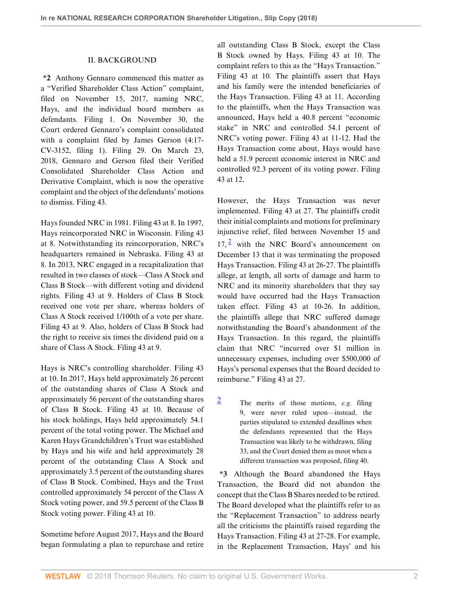### II. BACKGROUND

**\*2** Anthony Gennaro commenced this matter as a "Verified Shareholder Class Action" complaint, filed on November 15, 2017, naming NRC, Hays, and the individual board members as defendants. Filing 1. On November 30, the Court ordered Gennaro's complaint consolidated with a complaint filed by James Gerson (4:17- CV-3152, filing 1). Filing 29. On March 23, 2018, Gennaro and Gerson filed their Verified Consolidated Shareholder Class Action and Derivative Complaint, which is now the operative complaint and the object of the defendants' motions to dismiss. Filing 43.

Hays founded NRC in 1981. Filing 43 at 8. In 1997, Hays reincorporated NRC in Wisconsin. Filing 43 at 8. Notwithstanding its reincorporation, NRC's headquarters remained in Nebraska. Filing 43 at 8. In 2013, NRC engaged in a recapitalization that resulted in two classes of stock—Class A Stock and Class B Stock—with different voting and dividend rights. Filing 43 at 9. Holders of Class B Stock received one vote per share, whereas holders of Class A Stock received 1/100th of a vote per share. Filing 43 at 9. Also, holders of Class B Stock had the right to receive six times the dividend paid on a share of Class A Stock. Filing 43 at 9.

Hays is NRC's controlling shareholder. Filing 43 at 10. In 2017, Hays held approximately 26 percent of the outstanding shares of Class A Stock and approximately 56 percent of the outstanding shares of Class B Stock. Filing 43 at 10. Because of his stock holdings, Hays held approximately 54.1 percent of the total voting power. The Michael and Karen Hays Grandchildren's Trust was established by Hays and his wife and held approximately 28 percent of the outstanding Class A Stock and approximately 3.5 percent of the outstanding shares of Class B Stock. Combined, Hays and the Trust controlled approximately 54 percent of the Class A Stock voting power, and 59.5 percent of the Class B Stock voting power. Filing 43 at 10.

Sometime before August 2017, Hays and the Board began formulating a plan to repurchase and retire all outstanding Class B Stock, except the Class B Stock owned by Hays. Filing 43 at 10. The complaint refers to this as the "Hays Transaction." Filing 43 at 10. The plaintiffs assert that Hays and his family were the intended beneficiaries of the Hays Transaction. Filing 43 at 11. According to the plaintiffs, when the Hays Transaction was announced, Hays held a 40.8 percent "economic stake" in NRC and controlled 54.1 percent of NRC's voting power. Filing 43 at 11-12. Had the Hays Transaction come about, Hays would have held a 51.9 percent economic interest in NRC and controlled 92.3 percent of its voting power. Filing 43 at 12.

<span id="page-1-1"></span>However, the Hays Transaction was never implemented. Filing 43 at 27. The plaintiffs credit their initial complaints and motions for preliminary injunctive relief, filed between November 15 and  $17<sup>2</sup>$  $17<sup>2</sup>$  $17<sup>2</sup>$  with the NRC Board's announcement on December 13 that it was terminating the proposed Hays Transaction. Filing 43 at 26-27. The plaintiffs allege, at length, all sorts of damage and harm to NRC and its minority shareholders that they say would have occurred had the Hays Transaction taken effect. Filing 43 at 10-26. In addition, the plaintiffs allege that NRC suffered damage notwithstanding the Board's abandonment of the Hays Transaction. In this regard, the plaintiffs claim that NRC "incurred over \$1 million in unnecessary expenses, including over \$500,000 of Hays's personal expenses that the Board decided to reimburse." Filing 43 at 27.

<span id="page-1-0"></span> $\frac{2}{5}$  $\frac{2}{5}$  $\frac{2}{5}$  The merits of those motions, *e.g.* filing 9, were never ruled upon—instead, the parties stipulated to extended deadlines when the defendants represented that the Hays Transaction was likely to be withdrawn, filing 33, and the Court denied them as moot when a different transaction was proposed, filing 40.

**\*3** Although the Board abandoned the Hays Transaction, the Board did not abandon the concept that the Class B Shares needed to be retired. The Board developed what the plaintiffs refer to as the "Replacement Transaction" to address nearly all the criticisms the plaintiffs raised regarding the Hays Transaction. Filing 43 at 27-28. For example, in the Replacement Transaction, Hays' and his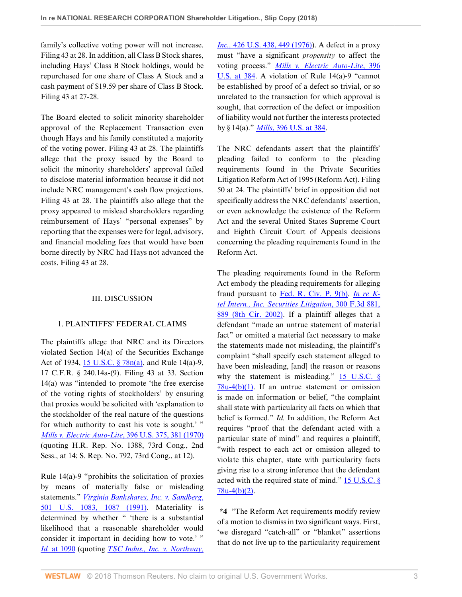family's collective voting power will not increase. Filing 43 at 28. In addition, all Class B Stock shares, including Hays' Class B Stock holdings, would be repurchased for one share of Class A Stock and a cash payment of \$19.59 per share of Class B Stock. Filing 43 at 27-28.

The Board elected to solicit minority shareholder approval of the Replacement Transaction even though Hays and his family constituted a majority of the voting power. Filing 43 at 28. The plaintiffs allege that the proxy issued by the Board to solicit the minority shareholders' approval failed to disclose material information because it did not include NRC management's cash flow projections. Filing 43 at 28. The plaintiffs also allege that the proxy appeared to mislead shareholders regarding reimbursement of Hays' "personal expenses" by reporting that the expenses were for legal, advisory, and financial modeling fees that would have been borne directly by NRC had Hays not advanced the costs. Filing 43 at 28.

### III. DISCUSSION

## 1. PLAINTIFFS' FEDERAL CLAIMS

The plaintiffs allege that NRC and its Directors violated Section 14(a) of the Securities Exchange Act of 1934, [15 U.S.C. § 78n\(a\)](http://www.westlaw.com/Link/Document/FullText?findType=L&pubNum=1000546&cite=15USCAS78N&originatingDoc=I15e91f00cd2a11e8b1cdeab7e1f6f07a&refType=RB&originationContext=document&vr=3.0&rs=cblt1.0&transitionType=DocumentItem&contextData=(sc.Folder*cid.0366c5058a8f4f4798e90373e9c2f91f*oc.Search)#co_pp_8b3b0000958a4), and Rule 14(a)-9, 17 C.F.R. § 240.14a-(9). Filing 43 at 33. Section 14(a) was "intended to promote 'the free exercise of the voting rights of stockholders' by ensuring that proxies would be solicited with 'explanation to the stockholder of the real nature of the questions for which authority to cast his vote is sought.' " *[Mills v. Electric Auto-Lite](http://www.westlaw.com/Link/Document/FullText?findType=Y&serNum=1970134171&pubNum=0000780&originatingDoc=I15e91f00cd2a11e8b1cdeab7e1f6f07a&refType=RP&fi=co_pp_sp_780_381&originationContext=document&vr=3.0&rs=cblt1.0&transitionType=DocumentItem&contextData=(sc.Folder*cid.0366c5058a8f4f4798e90373e9c2f91f*oc.Search)#co_pp_sp_780_381)*, 396 U.S. 375, 381 (1970) (quoting H.R. Rep. No. 1388, 73rd Cong., 2nd Sess., at 14; S. Rep. No. 792, 73rd Cong., at 12).

Rule 14(a)-9 "prohibits the solicitation of proxies by means of materially false or misleading statements." *[Virginia Bankshares, Inc. v. Sandberg](http://www.westlaw.com/Link/Document/FullText?findType=Y&serNum=1991116003&pubNum=0000780&originatingDoc=I15e91f00cd2a11e8b1cdeab7e1f6f07a&refType=RP&fi=co_pp_sp_780_1087&originationContext=document&vr=3.0&rs=cblt1.0&transitionType=DocumentItem&contextData=(sc.Folder*cid.0366c5058a8f4f4798e90373e9c2f91f*oc.Search)#co_pp_sp_780_1087)*, [501 U.S. 1083, 1087 \(1991\)](http://www.westlaw.com/Link/Document/FullText?findType=Y&serNum=1991116003&pubNum=0000780&originatingDoc=I15e91f00cd2a11e8b1cdeab7e1f6f07a&refType=RP&fi=co_pp_sp_780_1087&originationContext=document&vr=3.0&rs=cblt1.0&transitionType=DocumentItem&contextData=(sc.Folder*cid.0366c5058a8f4f4798e90373e9c2f91f*oc.Search)#co_pp_sp_780_1087). Materiality is determined by whether " 'there is a substantial likelihood that a reasonable shareholder would consider it important in deciding how to vote.' " *Id.* [at 1090](http://www.westlaw.com/Link/Document/FullText?findType=Y&serNum=1991116003&pubNum=0000780&originatingDoc=I15e91f00cd2a11e8b1cdeab7e1f6f07a&refType=RP&fi=co_pp_sp_780_1090&originationContext=document&vr=3.0&rs=cblt1.0&transitionType=DocumentItem&contextData=(sc.Folder*cid.0366c5058a8f4f4798e90373e9c2f91f*oc.Search)#co_pp_sp_780_1090) (quoting *[TSC Indus., Inc. v. Northway,](http://www.westlaw.com/Link/Document/FullText?findType=Y&serNum=1976142400&pubNum=0000780&originatingDoc=I15e91f00cd2a11e8b1cdeab7e1f6f07a&refType=RP&fi=co_pp_sp_780_449&originationContext=document&vr=3.0&rs=cblt1.0&transitionType=DocumentItem&contextData=(sc.Folder*cid.0366c5058a8f4f4798e90373e9c2f91f*oc.Search)#co_pp_sp_780_449)* *Inc.,* 426 U.S. 438, 449 (1976). A defect in a proxy must "have a significant *propensity* to affect the voting process." *[Mills v. Electric Auto-Lite](http://www.westlaw.com/Link/Document/FullText?findType=Y&serNum=1970134171&pubNum=0000780&originatingDoc=I15e91f00cd2a11e8b1cdeab7e1f6f07a&refType=RP&fi=co_pp_sp_780_384&originationContext=document&vr=3.0&rs=cblt1.0&transitionType=DocumentItem&contextData=(sc.Folder*cid.0366c5058a8f4f4798e90373e9c2f91f*oc.Search)#co_pp_sp_780_384)*, 396 [U.S. at 384](http://www.westlaw.com/Link/Document/FullText?findType=Y&serNum=1970134171&pubNum=0000780&originatingDoc=I15e91f00cd2a11e8b1cdeab7e1f6f07a&refType=RP&fi=co_pp_sp_780_384&originationContext=document&vr=3.0&rs=cblt1.0&transitionType=DocumentItem&contextData=(sc.Folder*cid.0366c5058a8f4f4798e90373e9c2f91f*oc.Search)#co_pp_sp_780_384). A violation of Rule 14(a)-9 "cannot be established by proof of a defect so trivial, or so unrelated to the transaction for which approval is sought, that correction of the defect or imposition of liability would not further the interests protected by § 14(a)." *Mills*[, 396 U.S. at 384](http://www.westlaw.com/Link/Document/FullText?findType=Y&serNum=1970134171&pubNum=0000780&originatingDoc=I15e91f00cd2a11e8b1cdeab7e1f6f07a&refType=RP&fi=co_pp_sp_780_384&originationContext=document&vr=3.0&rs=cblt1.0&transitionType=DocumentItem&contextData=(sc.Folder*cid.0366c5058a8f4f4798e90373e9c2f91f*oc.Search)#co_pp_sp_780_384).

The NRC defendants assert that the plaintiffs' pleading failed to conform to the pleading requirements found in the Private Securities Litigation Reform Act of 1995 (Reform Act). Filing 50 at 24. The plaintiffs' brief in opposition did not specifically address the NRC defendants' assertion, or even acknowledge the existence of the Reform Act and the several United States Supreme Court and Eighth Circuit Court of Appeals decisions concerning the pleading requirements found in the Reform Act.

The pleading requirements found in the Reform Act embody the pleading requirements for alleging fraud pursuant to [Fed. R. Civ. P. 9\(b\)](http://www.westlaw.com/Link/Document/FullText?findType=L&pubNum=1000600&cite=USFRCPR9&originatingDoc=I15e91f00cd2a11e8b1cdeab7e1f6f07a&refType=LQ&originationContext=document&vr=3.0&rs=cblt1.0&transitionType=DocumentItem&contextData=(sc.Folder*cid.0366c5058a8f4f4798e90373e9c2f91f*oc.Search)). *[In re K](http://www.westlaw.com/Link/Document/FullText?findType=Y&serNum=2002493852&pubNum=0000506&originatingDoc=I15e91f00cd2a11e8b1cdeab7e1f6f07a&refType=RP&fi=co_pp_sp_506_889&originationContext=document&vr=3.0&rs=cblt1.0&transitionType=DocumentItem&contextData=(sc.Folder*cid.0366c5058a8f4f4798e90373e9c2f91f*oc.Search)#co_pp_sp_506_889)[tel Intern., Inc. Securities Litigation](http://www.westlaw.com/Link/Document/FullText?findType=Y&serNum=2002493852&pubNum=0000506&originatingDoc=I15e91f00cd2a11e8b1cdeab7e1f6f07a&refType=RP&fi=co_pp_sp_506_889&originationContext=document&vr=3.0&rs=cblt1.0&transitionType=DocumentItem&contextData=(sc.Folder*cid.0366c5058a8f4f4798e90373e9c2f91f*oc.Search)#co_pp_sp_506_889)*, 300 F.3d 881, [889 \(8th Cir. 2002\).](http://www.westlaw.com/Link/Document/FullText?findType=Y&serNum=2002493852&pubNum=0000506&originatingDoc=I15e91f00cd2a11e8b1cdeab7e1f6f07a&refType=RP&fi=co_pp_sp_506_889&originationContext=document&vr=3.0&rs=cblt1.0&transitionType=DocumentItem&contextData=(sc.Folder*cid.0366c5058a8f4f4798e90373e9c2f91f*oc.Search)#co_pp_sp_506_889) If a plaintiff alleges that a defendant "made an untrue statement of material fact" or omitted a material fact necessary to make the statements made not misleading, the plaintiff's complaint "shall specify each statement alleged to have been misleading, [and] the reason or reasons why the statement is misleading."  $15$  U.S.C. §  $78u-4(b)(1)$ . If an untrue statement or omission is made on information or belief, "the complaint shall state with particularity all facts on which that belief is formed." *Id.* In addition, the Reform Act requires "proof that the defendant acted with a particular state of mind" and requires a plaintiff, "with respect to each act or omission alleged to violate this chapter, state with particularity facts giving rise to a strong inference that the defendant acted with the required state of mind."  $15$  U.S.C. § [78u-4\(b\)\(2\).](http://www.westlaw.com/Link/Document/FullText?findType=L&pubNum=1000546&cite=15USCAS78U-4&originatingDoc=I15e91f00cd2a11e8b1cdeab7e1f6f07a&refType=RB&originationContext=document&vr=3.0&rs=cblt1.0&transitionType=DocumentItem&contextData=(sc.Folder*cid.0366c5058a8f4f4798e90373e9c2f91f*oc.Search)#co_pp_c0ae00006c482)

**\*4** "The Reform Act requirements modify review of a motion to dismiss in two significant ways. First, 'we disregard "catch-all" or "blanket" assertions that do not live up to the particularity requirement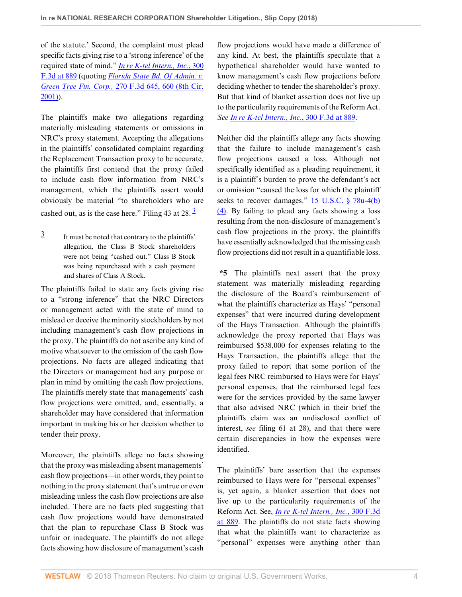of the statute.' Second, the complaint must plead specific facts giving rise to a 'strong inference' of the required state of mind." *[In re K-tel Intern., Inc.](http://www.westlaw.com/Link/Document/FullText?findType=Y&serNum=2002493852&pubNum=0000506&originatingDoc=I15e91f00cd2a11e8b1cdeab7e1f6f07a&refType=RP&fi=co_pp_sp_506_889&originationContext=document&vr=3.0&rs=cblt1.0&transitionType=DocumentItem&contextData=(sc.Folder*cid.0366c5058a8f4f4798e90373e9c2f91f*oc.Search)#co_pp_sp_506_889)*, 300 [F.3d at 889](http://www.westlaw.com/Link/Document/FullText?findType=Y&serNum=2002493852&pubNum=0000506&originatingDoc=I15e91f00cd2a11e8b1cdeab7e1f6f07a&refType=RP&fi=co_pp_sp_506_889&originationContext=document&vr=3.0&rs=cblt1.0&transitionType=DocumentItem&contextData=(sc.Folder*cid.0366c5058a8f4f4798e90373e9c2f91f*oc.Search)#co_pp_sp_506_889) (quoting *[Florida State Bd. Of Admin. v.](http://www.westlaw.com/Link/Document/FullText?findType=Y&serNum=2001928304&pubNum=0000506&originatingDoc=I15e91f00cd2a11e8b1cdeab7e1f6f07a&refType=RP&fi=co_pp_sp_506_660&originationContext=document&vr=3.0&rs=cblt1.0&transitionType=DocumentItem&contextData=(sc.Folder*cid.0366c5058a8f4f4798e90373e9c2f91f*oc.Search)#co_pp_sp_506_660) Green Tree Fin. Corp.,* [270 F.3d 645, 660 \(8th Cir.](http://www.westlaw.com/Link/Document/FullText?findType=Y&serNum=2001928304&pubNum=0000506&originatingDoc=I15e91f00cd2a11e8b1cdeab7e1f6f07a&refType=RP&fi=co_pp_sp_506_660&originationContext=document&vr=3.0&rs=cblt1.0&transitionType=DocumentItem&contextData=(sc.Folder*cid.0366c5058a8f4f4798e90373e9c2f91f*oc.Search)#co_pp_sp_506_660) [2001\)](http://www.westlaw.com/Link/Document/FullText?findType=Y&serNum=2001928304&pubNum=0000506&originatingDoc=I15e91f00cd2a11e8b1cdeab7e1f6f07a&refType=RP&fi=co_pp_sp_506_660&originationContext=document&vr=3.0&rs=cblt1.0&transitionType=DocumentItem&contextData=(sc.Folder*cid.0366c5058a8f4f4798e90373e9c2f91f*oc.Search)#co_pp_sp_506_660)).

The plaintiffs make two allegations regarding materially misleading statements or omissions in NRC's proxy statement. Accepting the allegations in the plaintiffs' consolidated complaint regarding the Replacement Transaction proxy to be accurate, the plaintiffs first contend that the proxy failed to include cash flow information from NRC's management, which the plaintiffs assert would obviously be material "to shareholders who are cashed out, as is the case here." Filing 4[3](#page-3-0) at  $28.\overline{3}$ 

<span id="page-3-0"></span>[3](#page-3-1) It must be noted that contrary to the plaintiffs' allegation, the Class B Stock shareholders were not being "cashed out." Class B Stock was being repurchased with a cash payment and shares of Class A Stock.

The plaintiffs failed to state any facts giving rise to a "strong inference" that the NRC Directors or management acted with the state of mind to mislead or deceive the minority stockholders by not including management's cash flow projections in the proxy. The plaintiffs do not ascribe any kind of motive whatsoever to the omission of the cash flow projections. No facts are alleged indicating that the Directors or management had any purpose or plan in mind by omitting the cash flow projections. The plaintiffs merely state that managements' cash flow projections were omitted, and, essentially, a shareholder may have considered that information important in making his or her decision whether to tender their proxy.

Moreover, the plaintiffs allege no facts showing that the proxy was misleading absent managements' cash flow projections—in other words, they point to nothing in the proxy statement that's untrue or even misleading unless the cash flow projections are also included. There are no facts pled suggesting that cash flow projections would have demonstrated that the plan to repurchase Class B Stock was unfair or inadequate. The plaintiffs do not allege facts showing how disclosure of management's cash

flow projections would have made a difference of any kind. At best, the plaintiffs speculate that a hypothetical shareholder would have wanted to know management's cash flow projections before deciding whether to tender the shareholder's proxy. But that kind of blanket assertion does not live up to the particularity requirements of the Reform Act. *See [In re K-tel Intern., Inc.](http://www.westlaw.com/Link/Document/FullText?findType=Y&serNum=2002493852&pubNum=0000506&originatingDoc=I15e91f00cd2a11e8b1cdeab7e1f6f07a&refType=RP&fi=co_pp_sp_506_889&originationContext=document&vr=3.0&rs=cblt1.0&transitionType=DocumentItem&contextData=(sc.Folder*cid.0366c5058a8f4f4798e90373e9c2f91f*oc.Search)#co_pp_sp_506_889)*, 300 F.3d at 889.

Neither did the plaintiffs allege any facts showing that the failure to include management's cash flow projections caused a loss. Although not specifically identified as a pleading requirement, it is a plaintiff's burden to prove the defendant's act or omission "caused the loss for which the plaintiff seeks to recover damages." [15 U.S.C. § 78u-4\(b\)](http://www.westlaw.com/Link/Document/FullText?findType=L&pubNum=1000546&cite=15USCAS78U-4&originatingDoc=I15e91f00cd2a11e8b1cdeab7e1f6f07a&refType=RB&originationContext=document&vr=3.0&rs=cblt1.0&transitionType=DocumentItem&contextData=(sc.Folder*cid.0366c5058a8f4f4798e90373e9c2f91f*oc.Search)#co_pp_6ad60000aeea7) [\(4\).](http://www.westlaw.com/Link/Document/FullText?findType=L&pubNum=1000546&cite=15USCAS78U-4&originatingDoc=I15e91f00cd2a11e8b1cdeab7e1f6f07a&refType=RB&originationContext=document&vr=3.0&rs=cblt1.0&transitionType=DocumentItem&contextData=(sc.Folder*cid.0366c5058a8f4f4798e90373e9c2f91f*oc.Search)#co_pp_6ad60000aeea7) By failing to plead any facts showing a loss resulting from the non-disclosure of management's cash flow projections in the proxy, the plaintiffs have essentially acknowledged that the missing cash flow projections did not result in a quantifiable loss.

<span id="page-3-1"></span>**\*5** The plaintiffs next assert that the proxy statement was materially misleading regarding the disclosure of the Board's reimbursement of what the plaintiffs characterize as Hays' "personal expenses" that were incurred during development of the Hays Transaction. Although the plaintiffs acknowledge the proxy reported that Hays was reimbursed \$538,000 for expenses relating to the Hays Transaction, the plaintiffs allege that the proxy failed to report that some portion of the legal fees NRC reimbursed to Hays were for Hays' personal expenses, that the reimbursed legal fees were for the services provided by the same lawyer that also advised NRC (which in their brief the plaintiffs claim was an undisclosed conflict of interest, *see* filing 61 at 28), and that there were certain discrepancies in how the expenses were identified.

The plaintiffs' bare assertion that the expenses reimbursed to Hays were for "personal expenses" is, yet again, a blanket assertion that does not live up to the particularity requirements of the Reform Act. See, *[In re K-tel Intern., Inc.](http://www.westlaw.com/Link/Document/FullText?findType=Y&serNum=2002493852&pubNum=0000506&originatingDoc=I15e91f00cd2a11e8b1cdeab7e1f6f07a&refType=RP&fi=co_pp_sp_506_889&originationContext=document&vr=3.0&rs=cblt1.0&transitionType=DocumentItem&contextData=(sc.Folder*cid.0366c5058a8f4f4798e90373e9c2f91f*oc.Search)#co_pp_sp_506_889)*, 300 F.3d [at 889.](http://www.westlaw.com/Link/Document/FullText?findType=Y&serNum=2002493852&pubNum=0000506&originatingDoc=I15e91f00cd2a11e8b1cdeab7e1f6f07a&refType=RP&fi=co_pp_sp_506_889&originationContext=document&vr=3.0&rs=cblt1.0&transitionType=DocumentItem&contextData=(sc.Folder*cid.0366c5058a8f4f4798e90373e9c2f91f*oc.Search)#co_pp_sp_506_889) The plaintiffs do not state facts showing that what the plaintiffs want to characterize as "personal" expenses were anything other than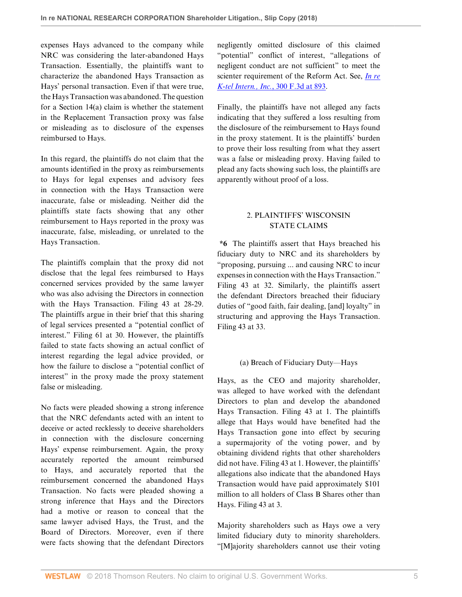expenses Hays advanced to the company while NRC was considering the later-abandoned Hays Transaction. Essentially, the plaintiffs want to characterize the abandoned Hays Transaction as Hays' personal transaction. Even if that were true, the Hays Transaction was abandoned. The question for a Section 14(a) claim is whether the statement in the Replacement Transaction proxy was false or misleading as to disclosure of the expenses reimbursed to Hays.

In this regard, the plaintiffs do not claim that the amounts identified in the proxy as reimbursements to Hays for legal expenses and advisory fees in connection with the Hays Transaction were inaccurate, false or misleading. Neither did the plaintiffs state facts showing that any other reimbursement to Hays reported in the proxy was inaccurate, false, misleading, or unrelated to the Hays Transaction.

The plaintiffs complain that the proxy did not disclose that the legal fees reimbursed to Hays concerned services provided by the same lawyer who was also advising the Directors in connection with the Hays Transaction. Filing 43 at 28-29. The plaintiffs argue in their brief that this sharing of legal services presented a "potential conflict of interest." Filing 61 at 30. However, the plaintiffs failed to state facts showing an actual conflict of interest regarding the legal advice provided, or how the failure to disclose a "potential conflict of interest" in the proxy made the proxy statement false or misleading.

No facts were pleaded showing a strong inference that the NRC defendants acted with an intent to deceive or acted recklessly to deceive shareholders in connection with the disclosure concerning Hays' expense reimbursement. Again, the proxy accurately reported the amount reimbursed to Hays, and accurately reported that the reimbursement concerned the abandoned Hays Transaction. No facts were pleaded showing a strong inference that Hays and the Directors had a motive or reason to conceal that the same lawyer advised Hays, the Trust, and the Board of Directors. Moreover, even if there were facts showing that the defendant Directors negligently omitted disclosure of this claimed "potential" conflict of interest, "allegations of negligent conduct are not sufficient" to meet the scienter requirement of the Reform Act. See, *[In re](http://www.westlaw.com/Link/Document/FullText?findType=Y&serNum=2002493852&pubNum=0000506&originatingDoc=I15e91f00cd2a11e8b1cdeab7e1f6f07a&refType=RP&fi=co_pp_sp_506_893&originationContext=document&vr=3.0&rs=cblt1.0&transitionType=DocumentItem&contextData=(sc.Folder*cid.0366c5058a8f4f4798e90373e9c2f91f*oc.Search)#co_pp_sp_506_893) [K-tel Intern., Inc.](http://www.westlaw.com/Link/Document/FullText?findType=Y&serNum=2002493852&pubNum=0000506&originatingDoc=I15e91f00cd2a11e8b1cdeab7e1f6f07a&refType=RP&fi=co_pp_sp_506_893&originationContext=document&vr=3.0&rs=cblt1.0&transitionType=DocumentItem&contextData=(sc.Folder*cid.0366c5058a8f4f4798e90373e9c2f91f*oc.Search)#co_pp_sp_506_893)*, 300 F.3d at 893.

Finally, the plaintiffs have not alleged any facts indicating that they suffered a loss resulting from the disclosure of the reimbursement to Hays found in the proxy statement. It is the plaintiffs' burden to prove their loss resulting from what they assert was a false or misleading proxy. Having failed to plead any facts showing such loss, the plaintiffs are apparently without proof of a loss.

# 2. PLAINTIFFS' WISCONSIN STATE CLAIMS

**\*6** The plaintiffs assert that Hays breached his fiduciary duty to NRC and its shareholders by "proposing, pursuing ... and causing NRC to incur expenses in connection with the Hays Transaction." Filing 43 at 32. Similarly, the plaintiffs assert the defendant Directors breached their fiduciary duties of "good faith, fair dealing, [and] loyalty" in structuring and approving the Hays Transaction. Filing 43 at 33.

# (a) Breach of Fiduciary Duty—Hays

Hays, as the CEO and majority shareholder, was alleged to have worked with the defendant Directors to plan and develop the abandoned Hays Transaction. Filing 43 at 1. The plaintiffs allege that Hays would have benefited had the Hays Transaction gone into effect by securing a supermajority of the voting power, and by obtaining dividend rights that other shareholders did not have. Filing 43 at 1. However, the plaintiffs' allegations also indicate that the abandoned Hays Transaction would have paid approximately \$101 million to all holders of Class B Shares other than Hays. Filing 43 at 3.

Majority shareholders such as Hays owe a very limited fiduciary duty to minority shareholders. "[M]ajority shareholders cannot use their voting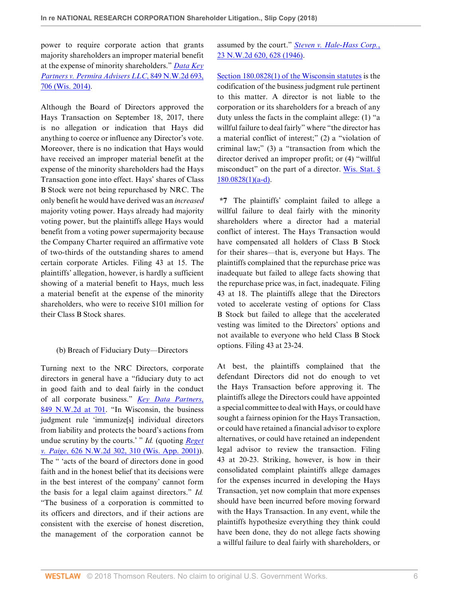power to require corporate action that grants majority shareholders an improper material benefit at the expense of minority shareholders." *[Data Key](http://www.westlaw.com/Link/Document/FullText?findType=Y&serNum=2033895179&pubNum=0000595&originatingDoc=I15e91f00cd2a11e8b1cdeab7e1f6f07a&refType=RP&fi=co_pp_sp_595_706&originationContext=document&vr=3.0&rs=cblt1.0&transitionType=DocumentItem&contextData=(sc.Folder*cid.0366c5058a8f4f4798e90373e9c2f91f*oc.Search)#co_pp_sp_595_706) [Partners v. Permira Advisers LLC](http://www.westlaw.com/Link/Document/FullText?findType=Y&serNum=2033895179&pubNum=0000595&originatingDoc=I15e91f00cd2a11e8b1cdeab7e1f6f07a&refType=RP&fi=co_pp_sp_595_706&originationContext=document&vr=3.0&rs=cblt1.0&transitionType=DocumentItem&contextData=(sc.Folder*cid.0366c5058a8f4f4798e90373e9c2f91f*oc.Search)#co_pp_sp_595_706)*, 849 N.W.2d 693, [706 \(Wis. 2014\).](http://www.westlaw.com/Link/Document/FullText?findType=Y&serNum=2033895179&pubNum=0000595&originatingDoc=I15e91f00cd2a11e8b1cdeab7e1f6f07a&refType=RP&fi=co_pp_sp_595_706&originationContext=document&vr=3.0&rs=cblt1.0&transitionType=DocumentItem&contextData=(sc.Folder*cid.0366c5058a8f4f4798e90373e9c2f91f*oc.Search)#co_pp_sp_595_706)

Although the Board of Directors approved the Hays Transaction on September 18, 2017, there is no allegation or indication that Hays did anything to coerce or influence any Director's vote. Moreover, there is no indication that Hays would have received an improper material benefit at the expense of the minority shareholders had the Hays Transaction gone into effect. Hays' shares of Class B Stock were not being repurchased by NRC. The only benefit he would have derived was an *increased* majority voting power. Hays already had majority voting power, but the plaintiffs allege Hays would benefit from a voting power supermajority because the Company Charter required an affirmative vote of two-thirds of the outstanding shares to amend certain corporate Articles. Filing 43 at 15. The plaintiffs' allegation, however, is hardly a sufficient showing of a material benefit to Hays, much less a material benefit at the expense of the minority shareholders, who were to receive \$101 million for their Class B Stock shares.

## (b) Breach of Fiduciary Duty—Directors

Turning next to the NRC Directors, corporate directors in general have a "fiduciary duty to act in good faith and to deal fairly in the conduct of all corporate business." *[Key Data Partners](http://www.westlaw.com/Link/Document/FullText?findType=Y&serNum=2033895179&pubNum=0000595&originatingDoc=I15e91f00cd2a11e8b1cdeab7e1f6f07a&refType=RP&fi=co_pp_sp_595_701&originationContext=document&vr=3.0&rs=cblt1.0&transitionType=DocumentItem&contextData=(sc.Folder*cid.0366c5058a8f4f4798e90373e9c2f91f*oc.Search)#co_pp_sp_595_701)*, [849 N.W.2d at 701.](http://www.westlaw.com/Link/Document/FullText?findType=Y&serNum=2033895179&pubNum=0000595&originatingDoc=I15e91f00cd2a11e8b1cdeab7e1f6f07a&refType=RP&fi=co_pp_sp_595_701&originationContext=document&vr=3.0&rs=cblt1.0&transitionType=DocumentItem&contextData=(sc.Folder*cid.0366c5058a8f4f4798e90373e9c2f91f*oc.Search)#co_pp_sp_595_701) "In Wisconsin, the business judgment rule 'immunize[s] individual directors from liability and protects the board's actions from undue scrutiny by the courts.' " *Id.* (quoting *[Reget](http://www.westlaw.com/Link/Document/FullText?findType=Y&serNum=2001126579&pubNum=0000595&originatingDoc=I15e91f00cd2a11e8b1cdeab7e1f6f07a&refType=RP&fi=co_pp_sp_595_310&originationContext=document&vr=3.0&rs=cblt1.0&transitionType=DocumentItem&contextData=(sc.Folder*cid.0366c5058a8f4f4798e90373e9c2f91f*oc.Search)#co_pp_sp_595_310) v. Paige*[, 626 N.W.2d 302, 310 \(Wis. App. 2001\)\)](http://www.westlaw.com/Link/Document/FullText?findType=Y&serNum=2001126579&pubNum=0000595&originatingDoc=I15e91f00cd2a11e8b1cdeab7e1f6f07a&refType=RP&fi=co_pp_sp_595_310&originationContext=document&vr=3.0&rs=cblt1.0&transitionType=DocumentItem&contextData=(sc.Folder*cid.0366c5058a8f4f4798e90373e9c2f91f*oc.Search)#co_pp_sp_595_310). The " 'acts of the board of directors done in good faith and in the honest belief that its decisions were in the best interest of the company' cannot form the basis for a legal claim against directors." *Id.* "The business of a corporation is committed to its officers and directors, and if their actions are consistent with the exercise of honest discretion, the management of the corporation cannot be assumed by the court." *[Steven v. Hale-Hass Corp.](http://www.westlaw.com/Link/Document/FullText?findType=Y&serNum=1946105065&pubNum=0000595&originatingDoc=I15e91f00cd2a11e8b1cdeab7e1f6f07a&refType=RP&fi=co_pp_sp_595_628&originationContext=document&vr=3.0&rs=cblt1.0&transitionType=DocumentItem&contextData=(sc.Folder*cid.0366c5058a8f4f4798e90373e9c2f91f*oc.Search)#co_pp_sp_595_628)*, [23 N.W.2d 620, 628 \(1946\)](http://www.westlaw.com/Link/Document/FullText?findType=Y&serNum=1946105065&pubNum=0000595&originatingDoc=I15e91f00cd2a11e8b1cdeab7e1f6f07a&refType=RP&fi=co_pp_sp_595_628&originationContext=document&vr=3.0&rs=cblt1.0&transitionType=DocumentItem&contextData=(sc.Folder*cid.0366c5058a8f4f4798e90373e9c2f91f*oc.Search)#co_pp_sp_595_628).

[Section 180.0828\(1\) of the Wisconsin statutes](http://www.westlaw.com/Link/Document/FullText?findType=L&pubNum=1000260&cite=WIST180.0828&originatingDoc=I15e91f00cd2a11e8b1cdeab7e1f6f07a&refType=SP&originationContext=document&vr=3.0&rs=cblt1.0&transitionType=DocumentItem&contextData=(sc.Folder*cid.0366c5058a8f4f4798e90373e9c2f91f*oc.Search)#co_pp_f1c50000821b0) is the codification of the business judgment rule pertinent to this matter. A director is not liable to the corporation or its shareholders for a breach of any duty unless the facts in the complaint allege: (1) "a willful failure to deal fairly" where "the director has a material conflict of interest;" (2) a "violation of criminal law;" (3) a "transaction from which the director derived an improper profit; or (4) "willful misconduct" on the part of a director. Wis. Stat.  $\S$ [180.0828\(1\)\(a-d\).](http://www.westlaw.com/Link/Document/FullText?findType=L&pubNum=1000260&cite=WIST180.0828&originatingDoc=I15e91f00cd2a11e8b1cdeab7e1f6f07a&refType=SP&originationContext=document&vr=3.0&rs=cblt1.0&transitionType=DocumentItem&contextData=(sc.Folder*cid.0366c5058a8f4f4798e90373e9c2f91f*oc.Search)#co_pp_f1c50000821b0)

**\*7** The plaintiffs' complaint failed to allege a willful failure to deal fairly with the minority shareholders where a director had a material conflict of interest. The Hays Transaction would have compensated all holders of Class B Stock for their shares—that is, everyone but Hays. The plaintiffs complained that the repurchase price was inadequate but failed to allege facts showing that the repurchase price was, in fact, inadequate. Filing 43 at 18. The plaintiffs allege that the Directors voted to accelerate vesting of options for Class B Stock but failed to allege that the accelerated vesting was limited to the Directors' options and not available to everyone who held Class B Stock options. Filing 43 at 23-24.

At best, the plaintiffs complained that the defendant Directors did not do enough to vet the Hays Transaction before approving it. The plaintiffs allege the Directors could have appointed a special committee to deal with Hays, or could have sought a fairness opinion for the Hays Transaction, or could have retained a financial advisor to explore alternatives, or could have retained an independent legal advisor to review the transaction. Filing 43 at 20-23. Striking, however, is how in their consolidated complaint plaintiffs allege damages for the expenses incurred in developing the Hays Transaction, yet now complain that more expenses should have been incurred before moving forward with the Hays Transaction. In any event, while the plaintiffs hypothesize everything they think could have been done, they do not allege facts showing a willful failure to deal fairly with shareholders, or